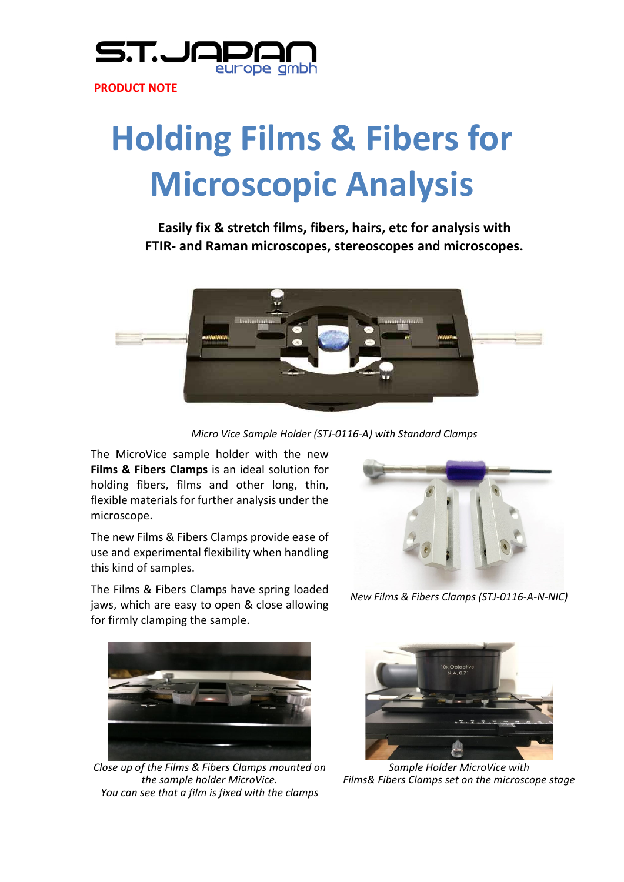

**PRODUCT NOTE**

## **Holding Films & Fibers for Microscopic Analysis**

**Easily fix & stretch films, fibers, hairs, etc for analysis with FTIR‐ and Raman microscopes, stereoscopes and microscopes.**





The MicroVice sample holder with the new **Films & Fibers Clamps** is an ideal solution for holding fibers, films and other long, thin, flexible materials for further analysis under the microscope.

The new Films & Fibers Clamps provide ease of use and experimental flexibility when handling this kind of samples.

The Films & Fibers Clamps have spring loaded jaws, which are easy to open & close allowing

for firmly clamping the sample.

*New Films & Fibers Clamps (STJ‐0116‐A‐N‐NIC)*



*Close up of the Films & Fibers Clamps mounted on the sample holder MicroVice. You can see that a film is fixed with the clamps*



*Sample Holder MicroVice with Films& Fibers Clamps set on the microscope stage*